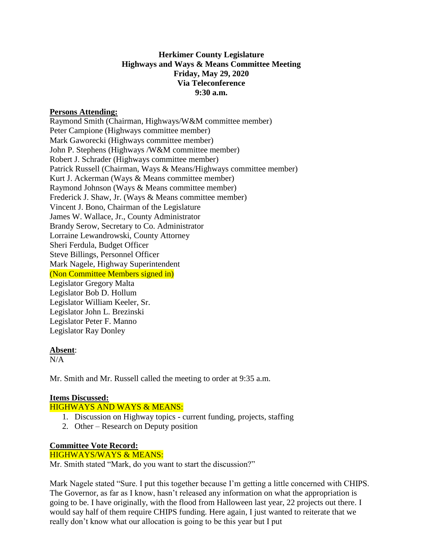# **Herkimer County Legislature Highways and Ways & Means Committee Meeting Friday, May 29, 2020 Via Teleconference 9:30 a.m.**

#### **Persons Attending:**

Raymond Smith (Chairman, Highways/W&M committee member) Peter Campione (Highways committee member) Mark Gaworecki (Highways committee member) John P. Stephens (Highways /W&M committee member) Robert J. Schrader (Highways committee member) Patrick Russell (Chairman, Ways & Means/Highways committee member) Kurt J. Ackerman (Ways & Means committee member) Raymond Johnson (Ways & Means committee member) Frederick J. Shaw, Jr. (Ways & Means committee member) Vincent J. Bono, Chairman of the Legislature James W. Wallace, Jr., County Administrator Brandy Serow, Secretary to Co. Administrator Lorraine Lewandrowski, County Attorney Sheri Ferdula, Budget Officer Steve Billings, Personnel Officer Mark Nagele, Highway Superintendent (Non Committee Members signed in) Legislator Gregory Malta Legislator Bob D. Hollum Legislator William Keeler, Sr. Legislator John L. Brezinski Legislator Peter F. Manno Legislator Ray Donley

#### **Absent**:

 $N/A$ 

Mr. Smith and Mr. Russell called the meeting to order at 9:35 a.m.

# **Items Discussed:**

# HIGHWAYS AND WAYS & MEANS:

- 1. Discussion on Highway topics current funding, projects, staffing
- 2. Other Research on Deputy position

# **Committee Vote Record:**

#### HIGHWAYS/WAYS & MEANS:

Mr. Smith stated "Mark, do you want to start the discussion?"

Mark Nagele stated "Sure. I put this together because I'm getting a little concerned with CHIPS. The Governor, as far as I know, hasn't released any information on what the appropriation is going to be. I have originally, with the flood from Halloween last year, 22 projects out there. I would say half of them require CHIPS funding. Here again, I just wanted to reiterate that we really don't know what our allocation is going to be this year but I put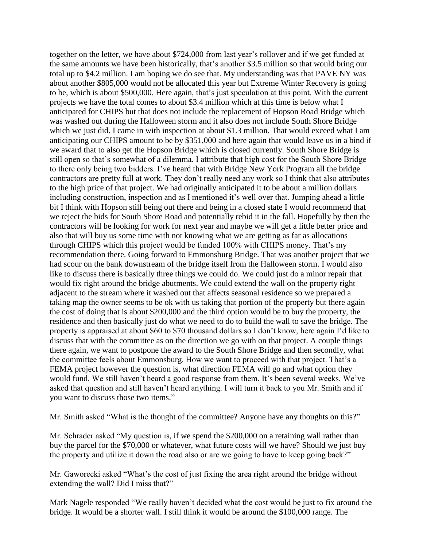together on the letter, we have about \$724,000 from last year's rollover and if we get funded at the same amounts we have been historically, that's another \$3.5 million so that would bring our total up to \$4.2 million. I am hoping we do see that. My understanding was that PAVE NY was about another \$805,000 would not be allocated this year but Extreme Winter Recovery is going to be, which is about \$500,000. Here again, that's just speculation at this point. With the current projects we have the total comes to about \$3.4 million which at this time is below what I anticipated for CHIPS but that does not include the replacement of Hopson Road Bridge which was washed out during the Halloween storm and it also does not include South Shore Bridge which we just did. I came in with inspection at about \$1.3 million. That would exceed what I am anticipating our CHIPS amount to be by \$351,000 and here again that would leave us in a bind if we award that to also get the Hopson Bridge which is closed currently. South Shore Bridge is still open so that's somewhat of a dilemma. I attribute that high cost for the South Shore Bridge to there only being two bidders. I've heard that with Bridge New York Program all the bridge contractors are pretty full at work. They don't really need any work so I think that also attributes to the high price of that project. We had originally anticipated it to be about a million dollars including construction, inspection and as I mentioned it's well over that. Jumping ahead a little bit I think with Hopson still being out there and being in a closed state I would recommend that we reject the bids for South Shore Road and potentially rebid it in the fall. Hopefully by then the contractors will be looking for work for next year and maybe we will get a little better price and also that will buy us some time with not knowing what we are getting as far as allocations through CHIPS which this project would be funded 100% with CHIPS money. That's my recommendation there. Going forward to Emmonsburg Bridge. That was another project that we had scour on the bank downstream of the bridge itself from the Halloween storm. I would also like to discuss there is basically three things we could do. We could just do a minor repair that would fix right around the bridge abutments. We could extend the wall on the property right adjacent to the stream where it washed out that affects seasonal residence so we prepared a taking map the owner seems to be ok with us taking that portion of the property but there again the cost of doing that is about \$200,000 and the third option would be to buy the property, the residence and then basically just do what we need to do to build the wall to save the bridge. The property is appraised at about \$60 to \$70 thousand dollars so I don't know, here again I'd like to discuss that with the committee as on the direction we go with on that project. A couple things there again, we want to postpone the award to the South Shore Bridge and then secondly, what the committee feels about Emmonsburg. How we want to proceed with that project. That's a FEMA project however the question is, what direction FEMA will go and what option they would fund. We still haven't heard a good response from them. It's been several weeks. We've asked that question and still haven't heard anything. I will turn it back to you Mr. Smith and if you want to discuss those two items."

Mr. Smith asked "What is the thought of the committee? Anyone have any thoughts on this?"

Mr. Schrader asked "My question is, if we spend the \$200,000 on a retaining wall rather than buy the parcel for the \$70,000 or whatever, what future costs will we have? Should we just buy the property and utilize it down the road also or are we going to have to keep going back?"

Mr. Gaworecki asked "What's the cost of just fixing the area right around the bridge without extending the wall? Did I miss that?"

Mark Nagele responded "We really haven't decided what the cost would be just to fix around the bridge. It would be a shorter wall. I still think it would be around the \$100,000 range. The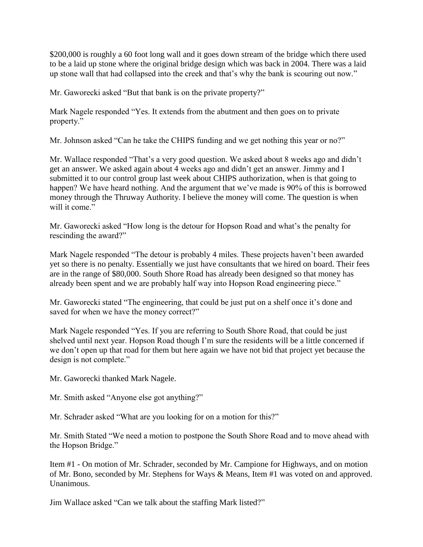\$200,000 is roughly a 60 foot long wall and it goes down stream of the bridge which there used to be a laid up stone where the original bridge design which was back in 2004. There was a laid up stone wall that had collapsed into the creek and that's why the bank is scouring out now."

Mr. Gaworecki asked "But that bank is on the private property?"

Mark Nagele responded "Yes. It extends from the abutment and then goes on to private property."

Mr. Johnson asked "Can he take the CHIPS funding and we get nothing this year or no?"

Mr. Wallace responded "That's a very good question. We asked about 8 weeks ago and didn't get an answer. We asked again about 4 weeks ago and didn't get an answer. Jimmy and I submitted it to our control group last week about CHIPS authorization, when is that going to happen? We have heard nothing. And the argument that we've made is 90% of this is borrowed money through the Thruway Authority. I believe the money will come. The question is when will it come"

Mr. Gaworecki asked "How long is the detour for Hopson Road and what's the penalty for rescinding the award?"

Mark Nagele responded "The detour is probably 4 miles. These projects haven't been awarded yet so there is no penalty. Essentially we just have consultants that we hired on board. Their fees are in the range of \$80,000. South Shore Road has already been designed so that money has already been spent and we are probably half way into Hopson Road engineering piece."

Mr. Gaworecki stated "The engineering, that could be just put on a shelf once it's done and saved for when we have the money correct?"

Mark Nagele responded "Yes. If you are referring to South Shore Road, that could be just shelved until next year. Hopson Road though I'm sure the residents will be a little concerned if we don't open up that road for them but here again we have not bid that project yet because the design is not complete."

Mr. Gaworecki thanked Mark Nagele.

Mr. Smith asked "Anyone else got anything?"

Mr. Schrader asked "What are you looking for on a motion for this?"

Mr. Smith Stated "We need a motion to postpone the South Shore Road and to move ahead with the Hopson Bridge."

Item #1 - On motion of Mr. Schrader, seconded by Mr. Campione for Highways, and on motion of Mr. Bono, seconded by Mr. Stephens for Ways & Means, Item #1 was voted on and approved. Unanimous.

Jim Wallace asked "Can we talk about the staffing Mark listed?"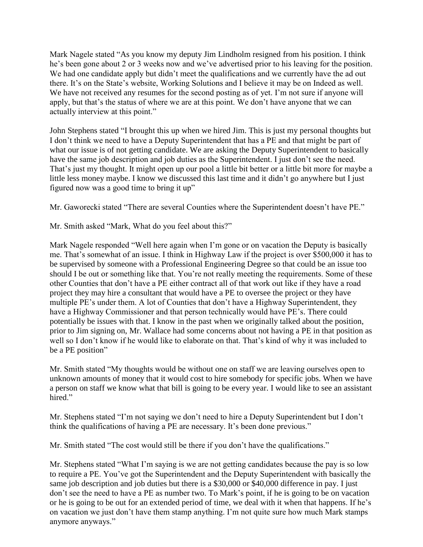Mark Nagele stated "As you know my deputy Jim Lindholm resigned from his position. I think he's been gone about 2 or 3 weeks now and we've advertised prior to his leaving for the position. We had one candidate apply but didn't meet the qualifications and we currently have the ad out there. It's on the State's website, Working Solutions and I believe it may be on Indeed as well. We have not received any resumes for the second posting as of yet. I'm not sure if anyone will apply, but that's the status of where we are at this point. We don't have anyone that we can actually interview at this point."

John Stephens stated "I brought this up when we hired Jim. This is just my personal thoughts but I don't think we need to have a Deputy Superintendent that has a PE and that might be part of what our issue is of not getting candidate. We are asking the Deputy Superintendent to basically have the same job description and job duties as the Superintendent. I just don't see the need. That's just my thought. It might open up our pool a little bit better or a little bit more for maybe a little less money maybe. I know we discussed this last time and it didn't go anywhere but I just figured now was a good time to bring it up"

Mr. Gaworecki stated "There are several Counties where the Superintendent doesn't have PE."

Mr. Smith asked "Mark, What do you feel about this?"

Mark Nagele responded "Well here again when I'm gone or on vacation the Deputy is basically me. That's somewhat of an issue. I think in Highway Law if the project is over \$500,000 it has to be supervised by someone with a Professional Engineering Degree so that could be an issue too should I be out or something like that. You're not really meeting the requirements. Some of these other Counties that don't have a PE either contract all of that work out like if they have a road project they may hire a consultant that would have a PE to oversee the project or they have multiple PE's under them. A lot of Counties that don't have a Highway Superintendent, they have a Highway Commissioner and that person technically would have PE's. There could potentially be issues with that. I know in the past when we originally talked about the position, prior to Jim signing on, Mr. Wallace had some concerns about not having a PE in that position as well so I don't know if he would like to elaborate on that. That's kind of why it was included to be a PE position"

Mr. Smith stated "My thoughts would be without one on staff we are leaving ourselves open to unknown amounts of money that it would cost to hire somebody for specific jobs. When we have a person on staff we know what that bill is going to be every year. I would like to see an assistant hired."

Mr. Stephens stated "I'm not saying we don't need to hire a Deputy Superintendent but I don't think the qualifications of having a PE are necessary. It's been done previous."

Mr. Smith stated "The cost would still be there if you don't have the qualifications."

Mr. Stephens stated "What I'm saying is we are not getting candidates because the pay is so low to require a PE. You've got the Superintendent and the Deputy Superintendent with basically the same job description and job duties but there is a \$30,000 or \$40,000 difference in pay. I just don't see the need to have a PE as number two. To Mark's point, if he is going to be on vacation or he is going to be out for an extended period of time, we deal with it when that happens. If he's on vacation we just don't have them stamp anything. I'm not quite sure how much Mark stamps anymore anyways."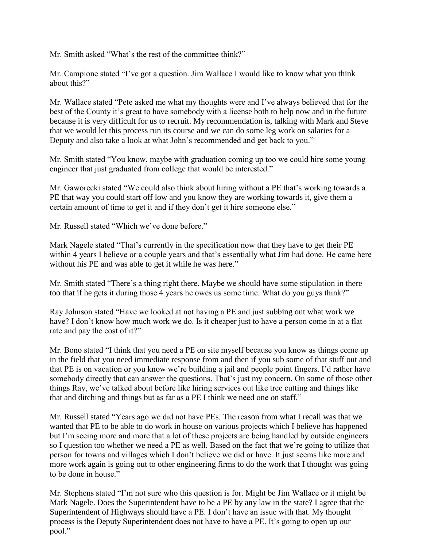Mr. Smith asked "What's the rest of the committee think?"

Mr. Campione stated "I've got a question. Jim Wallace I would like to know what you think about this?"

Mr. Wallace stated "Pete asked me what my thoughts were and I've always believed that for the best of the County it's great to have somebody with a license both to help now and in the future because it is very difficult for us to recruit. My recommendation is, talking with Mark and Steve that we would let this process run its course and we can do some leg work on salaries for a Deputy and also take a look at what John's recommended and get back to you."

Mr. Smith stated "You know, maybe with graduation coming up too we could hire some young engineer that just graduated from college that would be interested."

Mr. Gaworecki stated "We could also think about hiring without a PE that's working towards a PE that way you could start off low and you know they are working towards it, give them a certain amount of time to get it and if they don't get it hire someone else."

Mr. Russell stated "Which we've done before."

Mark Nagele stated "That's currently in the specification now that they have to get their PE within 4 years I believe or a couple years and that's essentially what Jim had done. He came here without his PE and was able to get it while he was here."

Mr. Smith stated "There's a thing right there. Maybe we should have some stipulation in there too that if he gets it during those 4 years he owes us some time. What do you guys think?"

Ray Johnson stated "Have we looked at not having a PE and just subbing out what work we have? I don't know how much work we do. Is it cheaper just to have a person come in at a flat rate and pay the cost of it?"

Mr. Bono stated "I think that you need a PE on site myself because you know as things come up in the field that you need immediate response from and then if you sub some of that stuff out and that PE is on vacation or you know we're building a jail and people point fingers. I'd rather have somebody directly that can answer the questions. That's just my concern. On some of those other things Ray, we've talked about before like hiring services out like tree cutting and things like that and ditching and things but as far as a PE I think we need one on staff."

Mr. Russell stated "Years ago we did not have PEs. The reason from what I recall was that we wanted that PE to be able to do work in house on various projects which I believe has happened but I'm seeing more and more that a lot of these projects are being handled by outside engineers so I question too whether we need a PE as well. Based on the fact that we're going to utilize that person for towns and villages which I don't believe we did or have. It just seems like more and more work again is going out to other engineering firms to do the work that I thought was going to be done in house."

Mr. Stephens stated "I'm not sure who this question is for. Might be Jim Wallace or it might be Mark Nagele. Does the Superintendent have to be a PE by any law in the state? I agree that the Superintendent of Highways should have a PE. I don't have an issue with that. My thought process is the Deputy Superintendent does not have to have a PE. It's going to open up our pool."